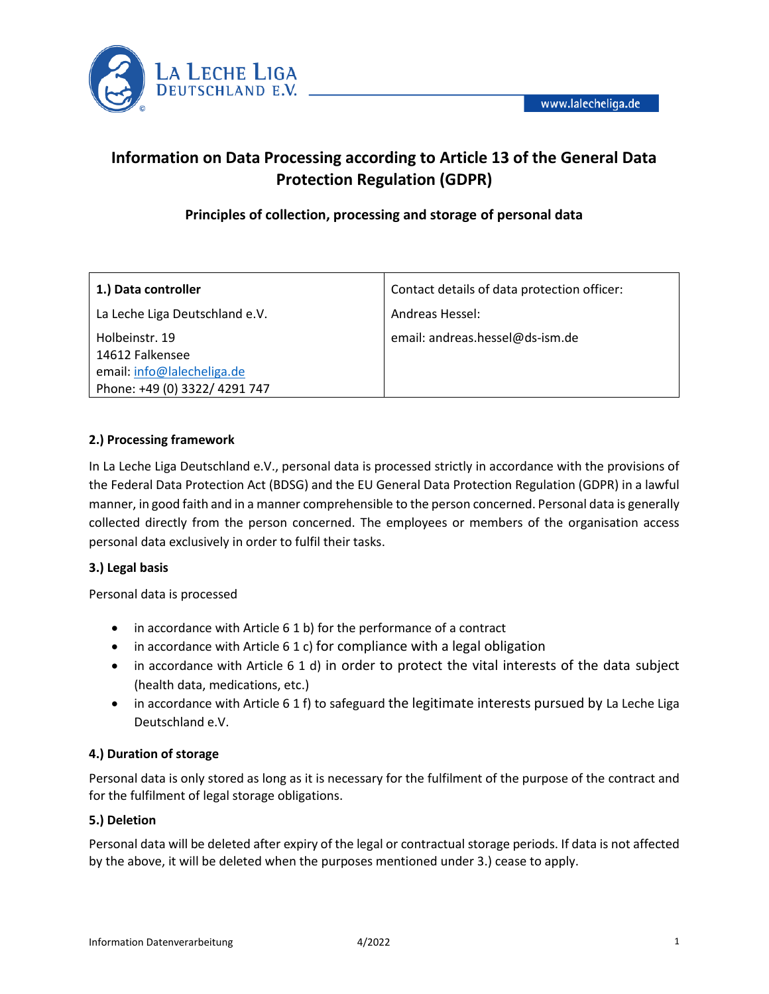

# **Information on Data Processing according to Article 13 of the General Data Protection Regulation (GDPR)**

## **Principles of collection, processing and storage of personal data**

| 1.) Data controller                                                                              | Contact details of data protection officer: |
|--------------------------------------------------------------------------------------------------|---------------------------------------------|
| La Leche Liga Deutschland e.V.                                                                   | Andreas Hessel:                             |
| Holbeinstr. 19<br>14612 Falkensee<br>email: info@lalecheliga.de<br>Phone: +49 (0) 3322/ 4291 747 | email: andreas.hessel@ds-ism.de             |

## **2.) Processing framework**

In La Leche Liga Deutschland e.V., personal data is processed strictly in accordance with the provisions of the Federal Data Protection Act (BDSG) and the EU General Data Protection Regulation (GDPR) in a lawful manner, in good faith and in a manner comprehensible to the person concerned. Personal data is generally collected directly from the person concerned. The employees or members of the organisation access personal data exclusively in order to fulfil their tasks.

## **3.) Legal basis**

Personal data is processed

- in accordance with Article 6 1 b) for the performance of a contract
- in accordance with Article 6 1 c) for compliance with a legal obligation
- in accordance with Article 6 1 d) in order to protect the vital interests of the data subject (health data, medications, etc.)
- in accordance with Article 6 1 f) to safeguard the legitimate interests pursued by La Leche Liga Deutschland e.V.

## **4.) Duration of storage**

Personal data is only stored as long as it is necessary for the fulfilment of the purpose of the contract and for the fulfilment of legal storage obligations.

#### **5.) Deletion**

Personal data will be deleted after expiry of the legal or contractual storage periods. If data is not affected by the above, it will be deleted when the purposes mentioned under 3.) cease to apply.